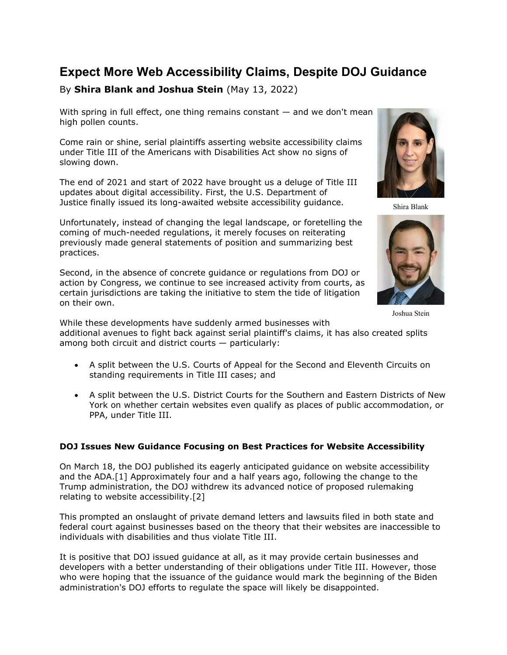# Expect More Web Accessibility Claims, Despite DOJ Guidance

## By Shira Blank and Joshua Stein (May 13, 2022)

With spring in full effect, one thing remains constant — and we don't mean high pollen counts.

Come rain or shine, serial plaintiffs asserting website accessibility claims under Title III of the Americans with Disabilities Act show no signs of slowing down.

The end of 2021 and start of 2022 have brought us a deluge of Title III updates about digital accessibility. First, the U.S. Department of Justice finally issued its long-awaited website accessibility guidance.

Unfortunately, instead of changing the legal landscape, or foretelling the coming of much-needed regulations, it merely focuses on reiterating previously made general statements of position and summarizing best practices.

Second, in the absence of concrete guidance or regulations from DOJ or action by Congress, we continue to see increased activity from courts, as certain jurisdictions are taking the initiative to stem the tide of litigation on their own.



Shira Blank



Joshua Stein

While these developments have suddenly armed businesses with additional avenues to fight back against serial plaintiff's claims, it has also created splits among both circuit and district courts — particularly:

- A split between the U.S. Courts of Appeal for the Second and Eleventh Circuits on standing requirements in Title III cases; and
- A split between the U.S. District Courts for the Southern and Eastern Districts of New York on whether certain websites even qualify as places of public accommodation, or PPA, under Title III.

### DOJ Issues New Guidance Focusing on Best Practices for Website Accessibility

On March 18, the DOJ published its eagerly anticipated guidance on website accessibility and the ADA.[1] Approximately four and a half years ago, following the change to the Trump administration, the DOJ withdrew its advanced notice of proposed rulemaking relating to website accessibility.[2]

This prompted an onslaught of private demand letters and lawsuits filed in both state and federal court against businesses based on the theory that their websites are inaccessible to individuals with disabilities and thus violate Title III.

It is positive that DOJ issued guidance at all, as it may provide certain businesses and developers with a better understanding of their obligations under Title III. However, those who were hoping that the issuance of the guidance would mark the beginning of the Biden administration's DOJ efforts to regulate the space will likely be disappointed.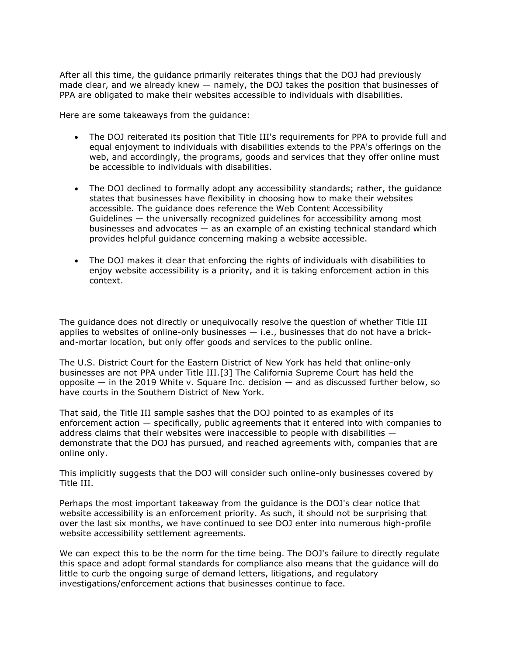After all this time, the guidance primarily reiterates things that the DOJ had previously made clear, and we already knew — namely, the DOJ takes the position that businesses of PPA are obligated to make their websites accessible to individuals with disabilities.

Here are some takeaways from the guidance:

- The DOJ reiterated its position that Title III's requirements for PPA to provide full and equal enjoyment to individuals with disabilities extends to the PPA's offerings on the web, and accordingly, the programs, goods and services that they offer online must be accessible to individuals with disabilities.
- The DOJ declined to formally adopt any accessibility standards; rather, the guidance states that businesses have flexibility in choosing how to make their websites accessible. The guidance does reference the Web Content Accessibility Guidelines — the universally recognized guidelines for accessibility among most businesses and advocates — as an example of an existing technical standard which provides helpful guidance concerning making a website accessible.
- The DOJ makes it clear that enforcing the rights of individuals with disabilities to enjoy website accessibility is a priority, and it is taking enforcement action in this context.

The guidance does not directly or unequivocally resolve the question of whether Title III applies to websites of online-only businesses  $-$  i.e., businesses that do not have a brickand-mortar location, but only offer goods and services to the public online.

The U.S. District Court for the Eastern District of New York has held that online-only businesses are not PPA under Title III.[3] The California Supreme Court has held the opposite  $-$  in the 2019 White v. Square Inc. decision  $-$  and as discussed further below, so have courts in the Southern District of New York.

That said, the Title III sample sashes that the DOJ pointed to as examples of its enforcement action — specifically, public agreements that it entered into with companies to address claims that their websites were inaccessible to people with disabilities demonstrate that the DOJ has pursued, and reached agreements with, companies that are online only.

This implicitly suggests that the DOJ will consider such online-only businesses covered by Title III.

Perhaps the most important takeaway from the guidance is the DOJ's clear notice that website accessibility is an enforcement priority. As such, it should not be surprising that over the last six months, we have continued to see DOJ enter into numerous high-profile website accessibility settlement agreements.

We can expect this to be the norm for the time being. The DOJ's failure to directly regulate this space and adopt formal standards for compliance also means that the guidance will do little to curb the ongoing surge of demand letters, litigations, and regulatory investigations/enforcement actions that businesses continue to face.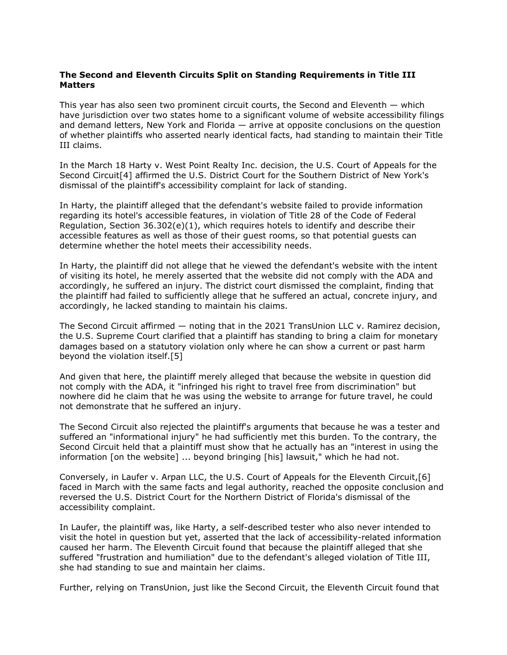#### The Second and Eleventh Circuits Split on Standing Requirements in Title III **Matters**

This year has also seen two prominent circuit courts, the Second and Eleventh — which have jurisdiction over two states home to a significant volume of website accessibility filings and demand letters, New York and Florida — arrive at opposite conclusions on the question of whether plaintiffs who asserted nearly identical facts, had standing to maintain their Title III claims.

In the March 18 Harty v. West Point Realty Inc. decision, the U.S. Court of Appeals for the Second Circuit[4] affirmed the U.S. District Court for the Southern District of New York's dismissal of the plaintiff's accessibility complaint for lack of standing.

In Harty, the plaintiff alleged that the defendant's website failed to provide information regarding its hotel's accessible features, in violation of Title 28 of the Code of Federal Regulation, Section  $36.302(e)(1)$ , which requires hotels to identify and describe their accessible features as well as those of their guest rooms, so that potential guests can determine whether the hotel meets their accessibility needs.

In Harty, the plaintiff did not allege that he viewed the defendant's website with the intent of visiting its hotel, he merely asserted that the website did not comply with the ADA and accordingly, he suffered an injury. The district court dismissed the complaint, finding that the plaintiff had failed to sufficiently allege that he suffered an actual, concrete injury, and accordingly, he lacked standing to maintain his claims.

The Second Circuit affirmed — noting that in the 2021 TransUnion LLC v. Ramirez decision, the U.S. Supreme Court clarified that a plaintiff has standing to bring a claim for monetary damages based on a statutory violation only where he can show a current or past harm beyond the violation itself.[5]

And given that here, the plaintiff merely alleged that because the website in question did not comply with the ADA, it "infringed his right to travel free from discrimination" but nowhere did he claim that he was using the website to arrange for future travel, he could not demonstrate that he suffered an injury.

The Second Circuit also rejected the plaintiff's arguments that because he was a tester and suffered an "informational injury" he had sufficiently met this burden. To the contrary, the Second Circuit held that a plaintiff must show that he actually has an "interest in using the information [on the website] ... beyond bringing [his] lawsuit," which he had not.

Conversely, in Laufer v. Arpan LLC, the U.S. Court of Appeals for the Eleventh Circuit,[6] faced in March with the same facts and legal authority, reached the opposite conclusion and reversed the U.S. District Court for the Northern District of Florida's dismissal of the accessibility complaint.

In Laufer, the plaintiff was, like Harty, a self-described tester who also never intended to visit the hotel in question but yet, asserted that the lack of accessibility-related information caused her harm. The Eleventh Circuit found that because the plaintiff alleged that she suffered "frustration and humiliation" due to the defendant's alleged violation of Title III, she had standing to sue and maintain her claims.

Further, relying on TransUnion, just like the Second Circuit, the Eleventh Circuit found that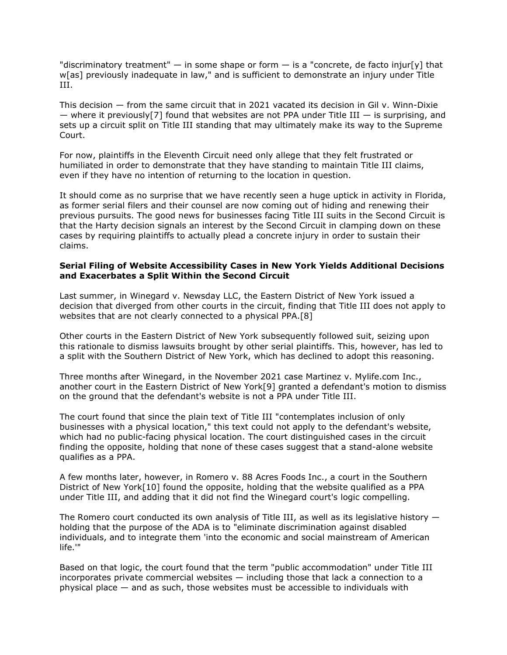"discriminatory treatment"  $-$  in some shape or form  $-$  is a "concrete, de facto injur[y] that w[as] previously inadequate in law," and is sufficient to demonstrate an injury under Title III.

This decision — from the same circuit that in 2021 vacated its decision in Gil v. Winn-Dixie — where it previously<sup>[7]</sup> found that websites are not PPA under Title III — is surprising, and sets up a circuit split on Title III standing that may ultimately make its way to the Supreme Court.

For now, plaintiffs in the Eleventh Circuit need only allege that they felt frustrated or humiliated in order to demonstrate that they have standing to maintain Title III claims, even if they have no intention of returning to the location in question.

It should come as no surprise that we have recently seen a huge uptick in activity in Florida, as former serial filers and their counsel are now coming out of hiding and renewing their previous pursuits. The good news for businesses facing Title III suits in the Second Circuit is that the Harty decision signals an interest by the Second Circuit in clamping down on these cases by requiring plaintiffs to actually plead a concrete injury in order to sustain their claims.

#### Serial Filing of Website Accessibility Cases in New York Yields Additional Decisions and Exacerbates a Split Within the Second Circuit

Last summer, in Winegard v. Newsday LLC, the Eastern District of New York issued a decision that diverged from other courts in the circuit, finding that Title III does not apply to websites that are not clearly connected to a physical PPA.[8]

Other courts in the Eastern District of New York subsequently followed suit, seizing upon this rationale to dismiss lawsuits brought by other serial plaintiffs. This, however, has led to a split with the Southern District of New York, which has declined to adopt this reasoning.

Three months after Winegard, in the November 2021 case Martinez v. Mylife.com Inc., another court in the Eastern District of New York[9] granted a defendant's motion to dismiss on the ground that the defendant's website is not a PPA under Title III.

The court found that since the plain text of Title III "contemplates inclusion of only businesses with a physical location," this text could not apply to the defendant's website, which had no public-facing physical location. The court distinguished cases in the circuit finding the opposite, holding that none of these cases suggest that a stand-alone website qualifies as a PPA.

A few months later, however, in Romero v. 88 Acres Foods Inc., a court in the Southern District of New York[10] found the opposite, holding that the website qualified as a PPA under Title III, and adding that it did not find the Winegard court's logic compelling.

The Romero court conducted its own analysis of Title III, as well as its legislative history  $$ holding that the purpose of the ADA is to "eliminate discrimination against disabled individuals, and to integrate them 'into the economic and social mainstream of American life.'"

Based on that logic, the court found that the term "public accommodation" under Title III incorporates private commercial websites — including those that lack a connection to a physical place — and as such, those websites must be accessible to individuals with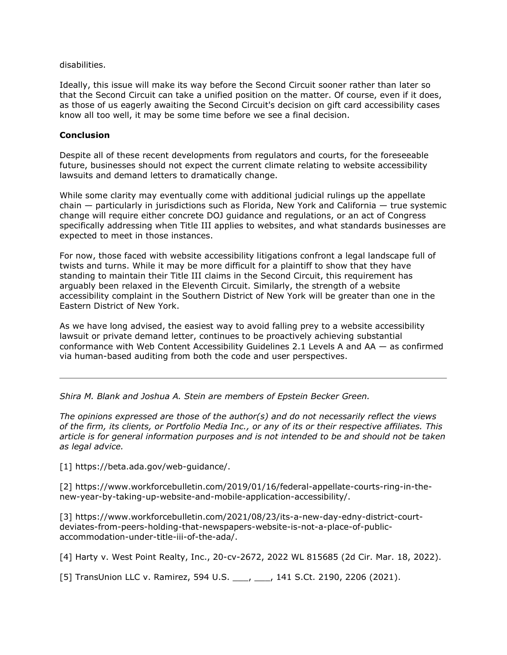disabilities.

Ideally, this issue will make its way before the Second Circuit sooner rather than later so that the Second Circuit can take a unified position on the matter. Of course, even if it does, as those of us eagerly awaiting the Second Circuit's decision on gift card accessibility cases know all too well, it may be some time before we see a final decision.

#### Conclusion

Despite all of these recent developments from regulators and courts, for the foreseeable future, businesses should not expect the current climate relating to website accessibility lawsuits and demand letters to dramatically change.

While some clarity may eventually come with additional judicial rulings up the appellate chain — particularly in jurisdictions such as Florida, New York and California — true systemic change will require either concrete DOJ guidance and regulations, or an act of Congress specifically addressing when Title III applies to websites, and what standards businesses are expected to meet in those instances.

For now, those faced with website accessibility litigations confront a legal landscape full of twists and turns. While it may be more difficult for a plaintiff to show that they have standing to maintain their Title III claims in the Second Circuit, this requirement has arguably been relaxed in the Eleventh Circuit. Similarly, the strength of a website accessibility complaint in the Southern District of New York will be greater than one in the Eastern District of New York.

As we have long advised, the easiest way to avoid falling prey to a website accessibility lawsuit or private demand letter, continues to be proactively achieving substantial conformance with Web Content Accessibility Guidelines 2.1 Levels A and AA — as confirmed via human-based auditing from both the code and user perspectives.

Shira M. Blank and Joshua A. Stein are members of Epstein Becker Green.

The opinions expressed are those of the author(s) and do not necessarily reflect the views of the firm, its clients, or Portfolio Media Inc., or any of its or their respective affiliates. This article is for general information purposes and is not intended to be and should not be taken as legal advice.

[1] https://beta.ada.gov/web-guidance/.

[2] https://www.workforcebulletin.com/2019/01/16/federal-appellate-courts-ring-in-thenew-year-by-taking-up-website-and-mobile-application-accessibility/.

[3] https://www.workforcebulletin.com/2021/08/23/its-a-new-day-edny-district-courtdeviates-from-peers-holding-that-newspapers-website-is-not-a-place-of-publicaccommodation-under-title-iii-of-the-ada/.

[4] Harty v. West Point Realty, Inc., 20-cv-2672, 2022 WL 815685 (2d Cir. Mar. 18, 2022).

[5] TransUnion LLC v. Ramirez, 594 U.S. \_\_\_, \_\_\_, 141 S.Ct. 2190, 2206 (2021).